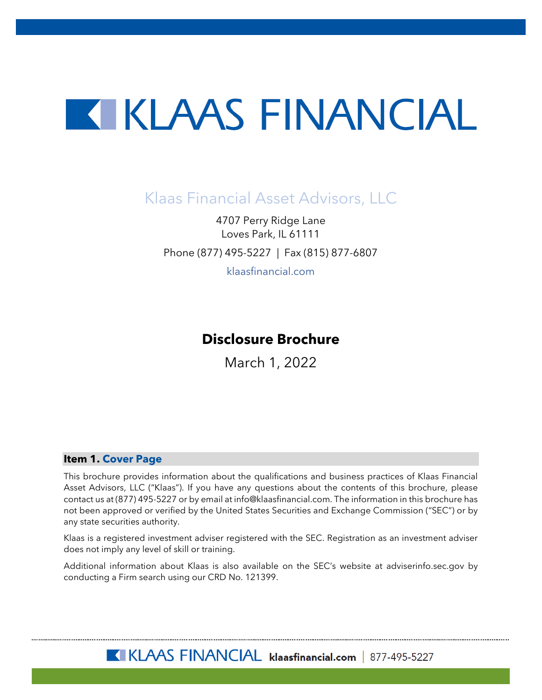# KIKLAAS FINANCIAL

# Klaas Financial Asset Advisors, LLC

4707 Perry Ridge Lane Loves Park, IL 61111 Phone (877) 495-5227 | Fax (815) 877-6807

klaasfinancial.com

# **Disclosure Brochure**

March 1, 2022

#### <span id="page-0-0"></span>**Item 1. Cover Page**

This brochure provides information about the qualifications and business practices of Klaas Financial Asset Advisors, LLC ("Klaas"). If you have any questions about the contents of this brochure, please contact us at (877) 495-5227 or by email at info@klaasfinancial.com. The information in this brochure has not been approved or verified by the United States Securities and Exchange Commission ("SEC") or by any state securities authority.

Klaas is a registered investment adviser registered with the SEC. Registration as an investment adviser does not imply any level of skill or training.

Additional information about Klaas is also available on the SEC's website at adviserinfo.sec.gov by conducting a Firm search using our CRD No. 121399.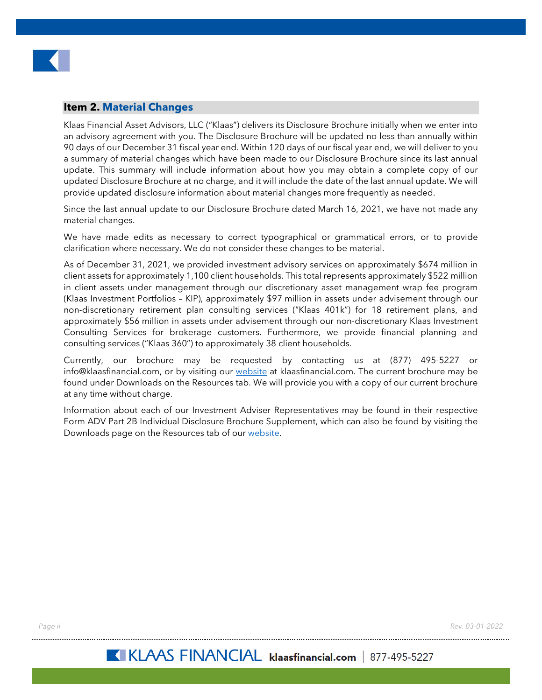

#### <span id="page-1-0"></span>**Item 2. Material Changes**

Klaas Financial Asset Advisors, LLC ("Klaas") delivers its Disclosure Brochure initially when we enter into an advisory agreement with you. The Disclosure Brochure will be updated no less than annually within 90 days of our December 31 fiscal year end. Within 120 days of our fiscal year end, we will deliver to you a summary of material changes which have been made to our Disclosure Brochure since its last annual update. This summary will include information about how you may obtain a complete copy of our updated Disclosure Brochure at no charge, and it will include the date of the last annual update. We will provide updated disclosure information about material changes more frequently as needed.

Since the last annual update to our Disclosure Brochure dated March 16, 2021, we have not made any material changes.

We have made edits as necessary to correct typographical or grammatical errors, or to provide clarification where necessary. We do not consider these changes to be material.

As of December 31, 2021, we provided investment advisory services on approximately \$674 million in client assets for approximately 1,100 client households. This total represents approximately \$522 million in client assets under management through our discretionary asset management wrap fee program (Klaas Investment Portfolios – KIP), approximately \$97 million in assets under advisement through our non-discretionary retirement plan consulting services ("Klaas 401k") for 18 retirement plans, and approximately \$56 million in assets under advisement through our non-discretionary Klaas Investment Consulting Services for brokerage customers. Furthermore, we provide financial planning and consulting services ("Klaas 360") to approximately 38 client households.

Currently, our brochure may be requested by contacting us at (877) 495-5227 or info@klaasfinancial.com, or by visiting our [website](https://klaasfinancial.com/multimedia/downloads/) at klaasfinancial.com. The current brochure may be found under Downloads on the Resources tab. We will provide you with a copy of our current brochure at any time without charge.

Information about each of our Investment Adviser Representatives may be found in their respective Form ADV Part 2B Individual Disclosure Brochure Supplement, which can also be found by visiting the Downloads page on the Resources tab of our [website.](https://klaasfinancial.com/multimedia/downloads/)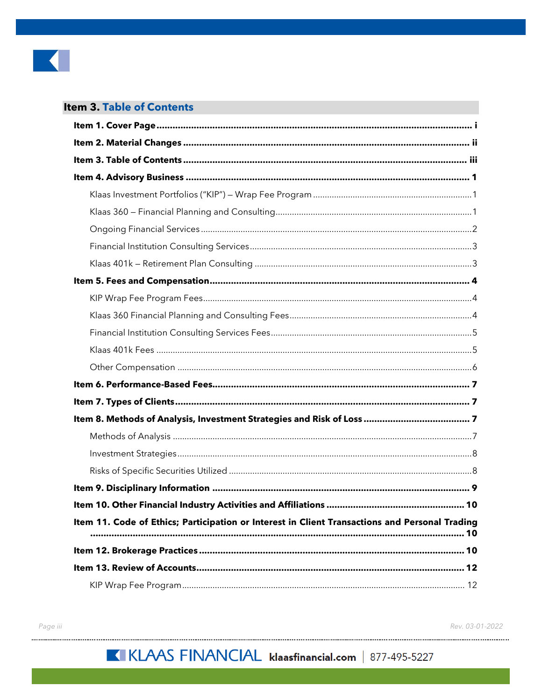

# <span id="page-2-0"></span>**Item 3. Table of Contents**

| Item 11. Code of Ethics; Participation or Interest in Client Transactions and Personal Trading |
|------------------------------------------------------------------------------------------------|
|                                                                                                |
|                                                                                                |
|                                                                                                |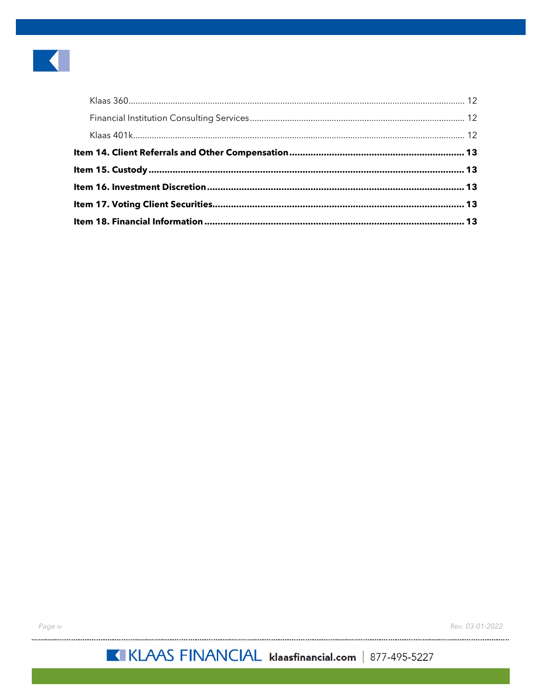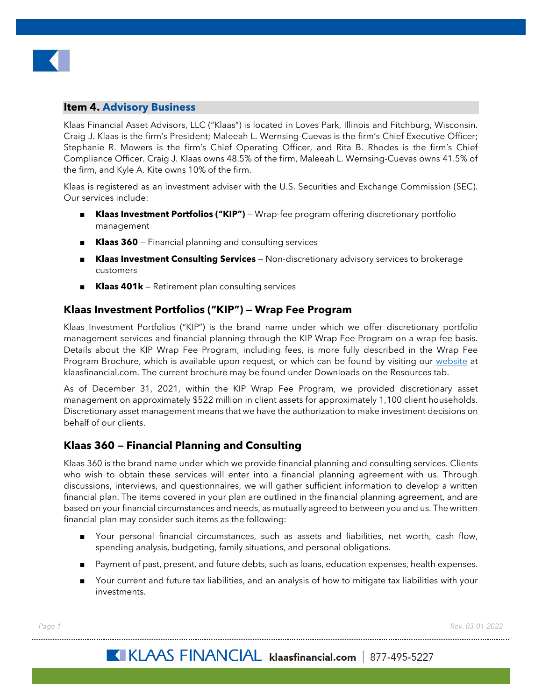

#### <span id="page-4-0"></span>**Item 4. Advisory Business**

Klaas Financial Asset Advisors, LLC ("Klaas") is located in Loves Park, Illinois and Fitchburg, Wisconsin. Craig J. Klaas is the firm's President; Maleeah L. Wernsing-Cuevas is the firm's Chief Executive Officer; Stephanie R. Mowers is the firm's Chief Operating Officer, and Rita B. Rhodes is the firm's Chief Compliance Officer. Craig J. Klaas owns 48.5% of the firm, Maleeah L. Wernsing-Cuevas owns 41.5% of the firm, and Kyle A. Kite owns 10% of the firm.

Klaas is registered as an investment adviser with the U.S. Securities and Exchange Commission (SEC). Our services include:

- Klaas Investment Portfolios ("KIP") Wrap-fee program offering discretionary portfolio management
- **Klaas 360** Financial planning and consulting services
- **Klaas Investment Consulting Services** Non-discretionary advisory services to brokerage customers
- **Klaas 401k** Retirement plan consulting services

#### <span id="page-4-1"></span>**Klaas Investment Portfolios ("KIP") — Wrap Fee Program**

Klaas Investment Portfolios ("KIP") is the brand name under which we offer discretionary portfolio management services and financial planning through the KIP Wrap Fee Program on a wrap-fee basis. Details about the KIP Wrap Fee Program, including fees, is more fully described in the Wrap Fee Program Brochure, which is available upon request, or which can be found by visiting our [website](https://klaasfinancial.com/multimedia/downloads/) at klaasfinancial.com. The current brochure may be found under Downloads on the Resources tab.

As of December 31, 2021, within the KIP Wrap Fee Program, we provided discretionary asset management on approximately \$522 million in client assets for approximately 1,100 client households. Discretionary asset management means that we have the authorization to make investment decisions on behalf of our clients.

#### <span id="page-4-2"></span>**Klaas 360 — Financial Planning and Consulting**

Klaas 360 is the brand name under which we provide financial planning and consulting services. Clients who wish to obtain these services will enter into a financial planning agreement with us. Through discussions, interviews, and questionnaires, we will gather sufficient information to develop a written financial plan. The items covered in your plan are outlined in the financial planning agreement, and are based on your financial circumstances and needs, as mutually agreed to between you and us. The written financial plan may consider such items as the following:

- Your personal financial circumstances, such as assets and liabilities, net worth, cash flow, spending analysis, budgeting, family situations, and personal obligations.
- Payment of past, present, and future debts, such as loans, education expenses, health expenses.
- Your current and future tax liabilities, and an analysis of how to mitigate tax liabilities with your investments.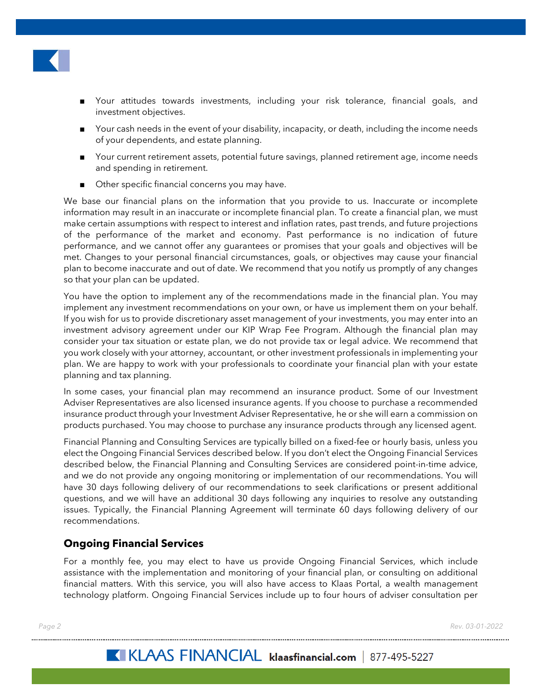

- Your attitudes towards investments, including your risk tolerance, financial goals, and investment objectives.
- Your cash needs in the event of your disability, incapacity, or death, including the income needs of your dependents, and estate planning.
- Your current retirement assets, potential future savings, planned retirement age, income needs and spending in retirement.
- Other specific financial concerns you may have.

We base our financial plans on the information that you provide to us. Inaccurate or incomplete information may result in an inaccurate or incomplete financial plan. To create a financial plan, we must make certain assumptions with respect to interest and inflation rates, past trends, and future projections of the performance of the market and economy. Past performance is no indication of future performance, and we cannot offer any guarantees or promises that your goals and objectives will be met. Changes to your personal financial circumstances, goals, or objectives may cause your financial plan to become inaccurate and out of date. We recommend that you notify us promptly of any changes so that your plan can be updated.

You have the option to implement any of the recommendations made in the financial plan. You may implement any investment recommendations on your own, or have us implement them on your behalf. If you wish for us to provide discretionary asset management of your investments, you may enter into an investment advisory agreement under our KIP Wrap Fee Program. Although the financial plan may consider your tax situation or estate plan, we do not provide tax or legal advice. We recommend that you work closely with your attorney, accountant, or other investment professionals in implementing your plan. We are happy to work with your professionals to coordinate your financial plan with your estate planning and tax planning.

In some cases, your financial plan may recommend an insurance product. Some of our Investment Adviser Representatives are also licensed insurance agents. If you choose to purchase a recommended insurance product through your Investment Adviser Representative, he or she will earn a commission on products purchased. You may choose to purchase any insurance products through any licensed agent.

Financial Planning and Consulting Services are typically billed on a fixed-fee or hourly basis, unless you elect the Ongoing Financial Services described below. If you don't elect the Ongoing Financial Services described below, the Financial Planning and Consulting Services are considered point-in-time advice, and we do not provide any ongoing monitoring or implementation of our recommendations. You will have 30 days following delivery of our recommendations to seek clarifications or present additional questions, and we will have an additional 30 days following any inquiries to resolve any outstanding issues. Typically, the Financial Planning Agreement will terminate 60 days following delivery of our recommendations.

# <span id="page-5-0"></span>**Ongoing Financial Services**

For a monthly fee, you may elect to have us provide Ongoing Financial Services, which include assistance with the implementation and monitoring of your financial plan, or consulting on additional financial matters. With this service, you will also have access to Klaas Portal, a wealth management technology platform. Ongoing Financial Services include up to four hours of adviser consultation per

*Page 2 Rev. 03-01-2022*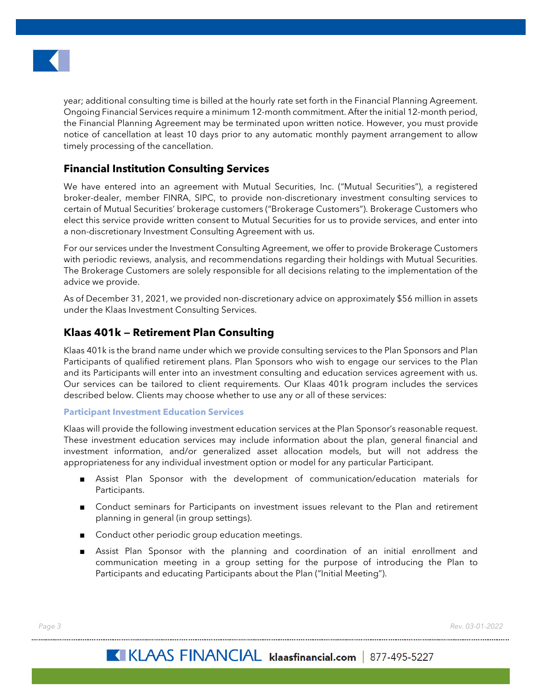

year; additional consulting time is billed at the hourly rate set forth in the Financial Planning Agreement. Ongoing Financial Services require a minimum 12-month commitment. After the initial 12-month period, the Financial Planning Agreement may be terminated upon written notice. However, you must provide notice of cancellation at least 10 days prior to any automatic monthly payment arrangement to allow timely processing of the cancellation.

# <span id="page-6-0"></span>**Financial Institution Consulting Services**

We have entered into an agreement with Mutual Securities, Inc. ("Mutual Securities"), a registered broker-dealer, member FINRA, SIPC, to provide non-discretionary investment consulting services to certain of Mutual Securities' brokerage customers ("Brokerage Customers"). Brokerage Customers who elect this service provide written consent to Mutual Securities for us to provide services, and enter into a non-discretionary Investment Consulting Agreement with us.

For our services under the Investment Consulting Agreement, we offer to provide Brokerage Customers with periodic reviews, analysis, and recommendations regarding their holdings with Mutual Securities. The Brokerage Customers are solely responsible for all decisions relating to the implementation of the advice we provide.

As of December 31, 2021, we provided non-discretionary advice on approximately \$56 million in assets under the Klaas Investment Consulting Services.

# <span id="page-6-1"></span>**Klaas 401k — Retirement Plan Consulting**

Klaas 401k is the brand name under which we provide consulting services to the Plan Sponsors and Plan Participants of qualified retirement plans. Plan Sponsors who wish to engage our services to the Plan and its Participants will enter into an investment consulting and education services agreement with us. Our services can be tailored to client requirements. Our Klaas 401k program includes the services described below. Clients may choose whether to use any or all of these services:

#### **Participant Investment Education Services**

Klaas will provide the following investment education services at the Plan Sponsor's reasonable request. These investment education services may include information about the plan, general financial and investment information, and/or generalized asset allocation models, but will not address the appropriateness for any individual investment option or model for any particular Participant.

- Assist Plan Sponsor with the development of communication/education materials for Participants.
- Conduct seminars for Participants on investment issues relevant to the Plan and retirement planning in general (in group settings).
- Conduct other periodic group education meetings.
- Assist Plan Sponsor with the planning and coordination of an initial enrollment and communication meeting in a group setting for the purpose of introducing the Plan to Participants and educating Participants about the Plan ("Initial Meeting").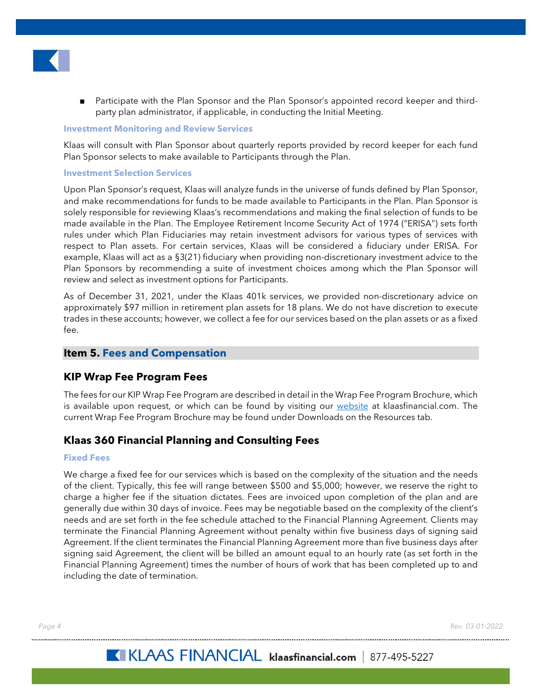

Participate with the Plan Sponsor and the Plan Sponsor's appointed record keeper and thirdparty plan administrator, if applicable, in conducting the Initial Meeting.

#### **Investment Monitoring and Review Services**

Klaas will consult with Plan Sponsor about quarterly reports provided by record keeper for each fund Plan Sponsor selects to make available to Participants through the Plan.

#### **Investment Selection Services**

Upon Plan Sponsor's request, Klaas will analyze funds in the universe of funds defined by Plan Sponsor, and make recommendations for funds to be made available to Participants in the Plan. Plan Sponsor is solely responsible for reviewing Klaas's recommendations and making the final selection of funds to be made available in the Plan. The Employee Retirement Income Security Act of 1974 ("ERISA") sets forth rules under which Plan Fiduciaries may retain investment advisors for various types of services with respect to Plan assets. For certain services, Klaas will be considered a fiduciary under ERISA. For example, Klaas will act as a §3(21) fiduciary when providing non-discretionary investment advice to the Plan Sponsors by recommending a suite of investment choices among which the Plan Sponsor will review and select as investment options for Participants.

As of December 31, 2021, under the Klaas 401k services, we provided non-discretionary advice on approximately \$97 million in retirement plan assets for 18 plans. We do not have discretion to execute trades in these accounts; however, we collect a fee for our services based on the plan assets or as a fixed  $f_{\Theta}$ 

#### <span id="page-7-0"></span>**Item 5. Fees and Compensation**

#### <span id="page-7-1"></span>**KIP Wrap Fee Program Fees**

The fees for our KIP Wrap Fee Program are described in detail in the Wrap Fee Program Brochure, which is available upon request, or which can be found by visiting our [website](https://klaasfinancial.com/multimedia/downloads/) at klaasfinancial.com. The current Wrap Fee Program Brochure may be found under Downloads on the Resources tab.

#### <span id="page-7-2"></span>**Klaas 360 Financial Planning and Consulting Fees**

#### **Fixed Fees**

We charge a fixed fee for our services which is based on the complexity of the situation and the needs of the client. Typically, this fee will range between \$500 and \$5,000; however, we reserve the right to charge a higher fee if the situation dictates. Fees are invoiced upon completion of the plan and are generally due within 30 days of invoice. Fees may be negotiable based on the complexity of the client's needs and are set forth in the fee schedule attached to the Financial Planning Agreement. Clients may terminate the Financial Planning Agreement without penalty within five business days of signing said Agreement. If the client terminates the Financial Planning Agreement more than five business days after signing said Agreement, the client will be billed an amount equal to an hourly rate (as set forth in the Financial Planning Agreement) times the number of hours of work that has been completed up to and including the date of termination.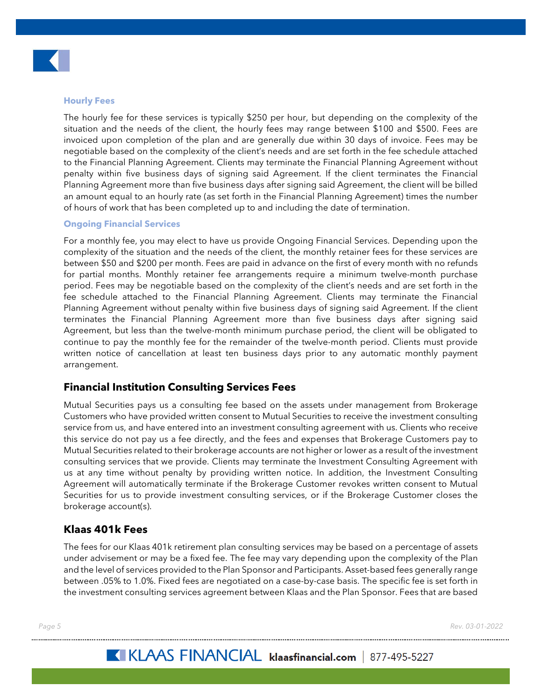

#### **Hourly Fees**

The hourly fee for these services is typically \$250 per hour, but depending on the complexity of the situation and the needs of the client, the hourly fees may range between \$100 and \$500. Fees are invoiced upon completion of the plan and are generally due within 30 days of invoice. Fees may be negotiable based on the complexity of the client's needs and are set forth in the fee schedule attached to the Financial Planning Agreement. Clients may terminate the Financial Planning Agreement without penalty within five business days of signing said Agreement. If the client terminates the Financial Planning Agreement more than five business days after signing said Agreement, the client will be billed an amount equal to an hourly rate (as set forth in the Financial Planning Agreement) times the number of hours of work that has been completed up to and including the date of termination.

#### **Ongoing Financial Services**

For a monthly fee, you may elect to have us provide Ongoing Financial Services. Depending upon the complexity of the situation and the needs of the client, the monthly retainer fees for these services are between \$50 and \$200 per month. Fees are paid in advance on the first of every month with no refunds for partial months. Monthly retainer fee arrangements require a minimum twelve-month purchase period. Fees may be negotiable based on the complexity of the client's needs and are set forth in the fee schedule attached to the Financial Planning Agreement. Clients may terminate the Financial Planning Agreement without penalty within five business days of signing said Agreement. If the client terminates the Financial Planning Agreement more than five business days after signing said Agreement, but less than the twelve-month minimum purchase period, the client will be obligated to continue to pay the monthly fee for the remainder of the twelve-month period. Clients must provide written notice of cancellation at least ten business days prior to any automatic monthly payment arrangement.

#### <span id="page-8-0"></span>**Financial Institution Consulting Services Fees**

Mutual Securities pays us a consulting fee based on the assets under management from Brokerage Customers who have provided written consent to Mutual Securities to receive the investment consulting service from us, and have entered into an investment consulting agreement with us. Clients who receive this service do not pay us a fee directly, and the fees and expenses that Brokerage Customers pay to Mutual Securities related to their brokerage accounts are not higher or lower as a result of the investment consulting services that we provide. Clients may terminate the Investment Consulting Agreement with us at any time without penalty by providing written notice. In addition, the Investment Consulting Agreement will automatically terminate if the Brokerage Customer revokes written consent to Mutual Securities for us to provide investment consulting services, or if the Brokerage Customer closes the brokerage account(s).

#### <span id="page-8-1"></span>**Klaas 401k Fees**

The fees for our Klaas 401k retirement plan consulting services may be based on a percentage of assets under advisement or may be a fixed fee. The fee may vary depending upon the complexity of the Plan and the level of services provided to the Plan Sponsor and Participants. Asset-based fees generally range between .05% to 1.0%. Fixed fees are negotiated on a case-by-case basis. The specific fee is set forth in the investment consulting services agreement between Klaas and the Plan Sponsor. Fees that are based

*Page 5 Rev. 03-01-2022*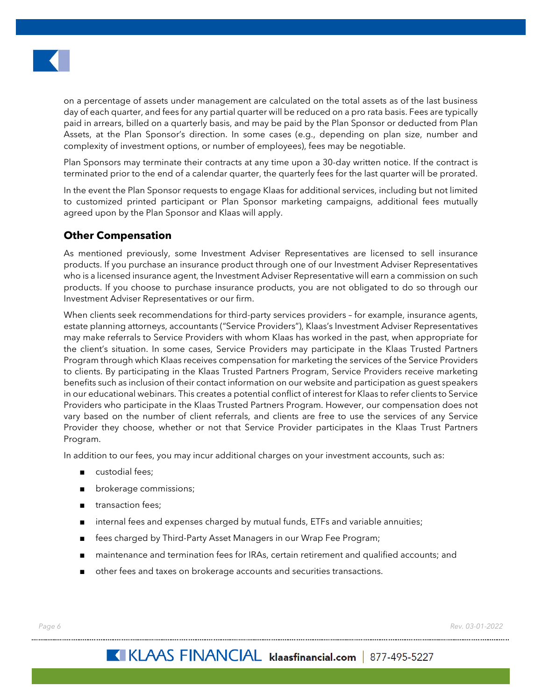

on a percentage of assets under management are calculated on the total assets as of the last business day of each quarter, and fees for any partial quarter will be reduced on a pro rata basis. Fees are typically paid in arrears, billed on a quarterly basis, and may be paid by the Plan Sponsor or deducted from Plan Assets, at the Plan Sponsor's direction. In some cases (e.g., depending on plan size, number and complexity of investment options, or number of employees), fees may be negotiable.

Plan Sponsors may terminate their contracts at any time upon a 30-day written notice. If the contract is terminated prior to the end of a calendar quarter, the quarterly fees for the last quarter will be prorated.

In the event the Plan Sponsor requests to engage Klaas for additional services, including but not limited to customized printed participant or Plan Sponsor marketing campaigns, additional fees mutually agreed upon by the Plan Sponsor and Klaas will apply.

# <span id="page-9-0"></span>**Other Compensation**

As mentioned previously, some Investment Adviser Representatives are licensed to sell insurance products. If you purchase an insurance product through one of our Investment Adviser Representatives who is a licensed insurance agent, the Investment Adviser Representative will earn a commission on such products. If you choose to purchase insurance products, you are not obligated to do so through our Investment Adviser Representatives or our firm.

When clients seek recommendations for third-party services providers – for example, insurance agents, estate planning attorneys, accountants ("Service Providers"), Klaas's Investment Adviser Representatives may make referrals to Service Providers with whom Klaas has worked in the past, when appropriate for the client's situation. In some cases, Service Providers may participate in the Klaas Trusted Partners Program through which Klaas receives compensation for marketing the services of the Service Providers to clients. By participating in the Klaas Trusted Partners Program, Service Providers receive marketing benefits such as inclusion of their contact information on our website and participation as guest speakers in our educational webinars. This creates a potential conflict of interest for Klaas to refer clients to Service Providers who participate in the Klaas Trusted Partners Program. However, our compensation does not vary based on the number of client referrals, and clients are free to use the services of any Service Provider they choose, whether or not that Service Provider participates in the Klaas Trust Partners Program.

In addition to our fees, you may incur additional charges on your investment accounts, such as:

- custodial fees;
- brokerage commissions;
- transaction fees;
- internal fees and expenses charged by mutual funds, ETFs and variable annuities;
- fees charged by Third-Party Asset Managers in our Wrap Fee Program;
- maintenance and termination fees for IRAs, certain retirement and qualified accounts; and
- other fees and taxes on brokerage accounts and securities transactions.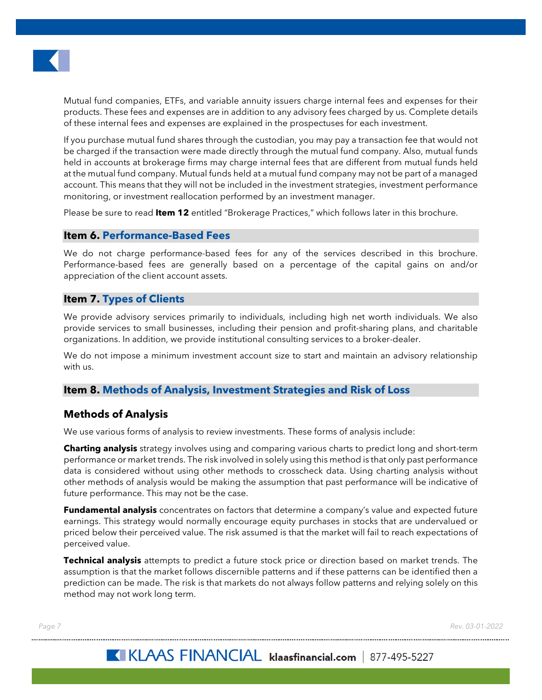

Mutual fund companies, ETFs, and variable annuity issuers charge internal fees and expenses for their products. These fees and expenses are in addition to any advisory fees charged by us. Complete details of these internal fees and expenses are explained in the prospectuses for each investment.

If you purchase mutual fund shares through the custodian, you may pay a transaction fee that would not be charged if the transaction were made directly through the mutual fund company. Also, mutual funds held in accounts at brokerage firms may charge internal fees that are different from mutual funds held at the mutual fund company. Mutual funds held at a mutual fund company may not be part of a managed account. This means that they will not be included in the investment strategies, investment performance monitoring, or investment reallocation performed by an investment manager.

Please be sure to read **Item 12** entitled "Brokerage Practices," which follows later in this brochure.

#### <span id="page-10-0"></span>**Item 6. Performance-Based Fees**

We do not charge performance-based fees for any of the services described in this brochure. Performance-based fees are generally based on a percentage of the capital gains on and/or appreciation of the client account assets.

#### <span id="page-10-1"></span>**Item 7. Types of Clients**

We provide advisory services primarily to individuals, including high net worth individuals. We also provide services to small businesses, including their pension and profit-sharing plans, and charitable organizations. In addition, we provide institutional consulting services to a broker-dealer.

We do not impose a minimum investment account size to start and maintain an advisory relationship with us.

#### <span id="page-10-2"></span>**Item 8. Methods of Analysis, Investment Strategies and Risk of Loss**

#### <span id="page-10-3"></span>**Methods of Analysis**

We use various forms of analysis to review investments. These forms of analysis include:

**Charting analysis** strategy involves using and comparing various charts to predict long and short-term performance or market trends. The risk involved in solely using this method is that only past performance data is considered without using other methods to crosscheck data. Using charting analysis without other methods of analysis would be making the assumption that past performance will be indicative of future performance. This may not be the case.

**Fundamental analysis** concentrates on factors that determine a company's value and expected future earnings. This strategy would normally encourage equity purchases in stocks that are undervalued or priced below their perceived value. The risk assumed is that the market will fail to reach expectations of perceived value.

**Technical analysis** attempts to predict a future stock price or direction based on market trends. The assumption is that the market follows discernible patterns and if these patterns can be identified then a prediction can be made. The risk is that markets do not always follow patterns and relying solely on this method may not work long term.

*Page 7 Rev. 03-01-2022*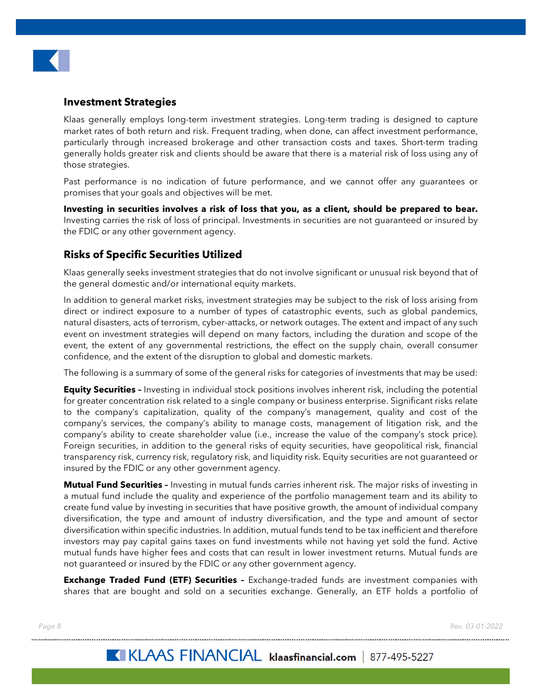

# <span id="page-11-0"></span>**Investment Strategies**

Klaas generally employs long-term investment strategies. Long-term trading is designed to capture market rates of both return and risk. Frequent trading, when done, can affect investment performance, particularly through increased brokerage and other transaction costs and taxes. Short-term trading generally holds greater risk and clients should be aware that there is a material risk of loss using any of those strategies.

Past performance is no indication of future performance, and we cannot offer any guarantees or promises that your goals and objectives will be met.

**Investing in securities involves a risk of loss that you, as a client, should be prepared to bear.** Investing carries the risk of loss of principal. Investments in securities are not guaranteed or insured by the FDIC or any other government agency.

# <span id="page-11-1"></span>**Risks of Specific Securities Utilized**

Klaas generally seeks investment strategies that do not involve significant or unusual risk beyond that of the general domestic and/or international equity markets.

In addition to general market risks, investment strategies may be subject to the risk of loss arising from direct or indirect exposure to a number of types of catastrophic events, such as global pandemics, natural disasters, acts of terrorism, cyber-attacks, or network outages. The extent and impact of any such event on investment strategies will depend on many factors, including the duration and scope of the event, the extent of any governmental restrictions, the effect on the supply chain, overall consumer confidence, and the extent of the disruption to global and domestic markets.

The following is a summary of some of the general risks for categories of investments that may be used:

**Equity Securities -** Investing in individual stock positions involves inherent risk, including the potential for greater concentration risk related to a single company or business enterprise. Significant risks relate to the company's capitalization, quality of the company's management, quality and cost of the company's services, the company's ability to manage costs, management of litigation risk, and the company's ability to create shareholder value (i.e., increase the value of the company's stock price). Foreign securities, in addition to the general risks of equity securities, have geopolitical risk, financial transparency risk, currency risk, regulatory risk, and liquidity risk. Equity securities are not guaranteed or insured by the FDIC or any other government agency.

**Mutual Fund Securities –** Investing in mutual funds carries inherent risk. The major risks of investing in a mutual fund include the quality and experience of the portfolio management team and its ability to create fund value by investing in securities that have positive growth, the amount of individual company diversification, the type and amount of industry diversification, and the type and amount of sector diversification within specific industries. In addition, mutual funds tend to be tax inefficient and therefore investors may pay capital gains taxes on fund investments while not having yet sold the fund. Active mutual funds have higher fees and costs that can result in lower investment returns. Mutual funds are not guaranteed or insured by the FDIC or any other government agency.

**Exchange Traded Fund (ETF) Securities –** Exchange-traded funds are investment companies with shares that are bought and sold on a securities exchange. Generally, an ETF holds a portfolio of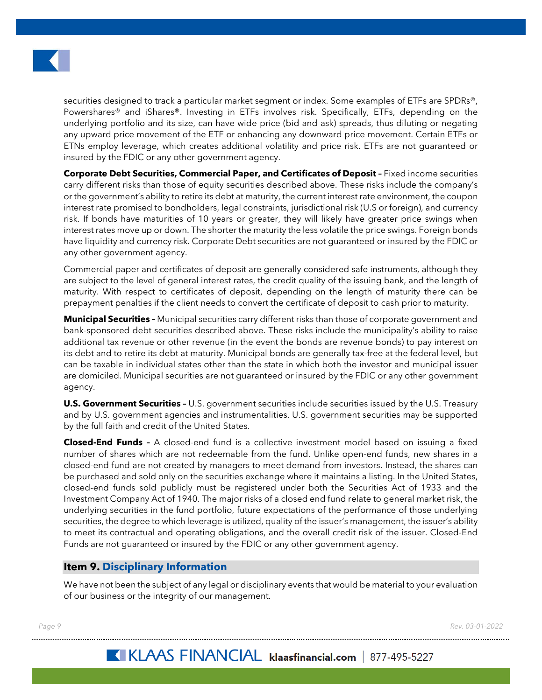

securities designed to track a particular market segment or index. Some examples of ETFs are SPDRs®, Powershares® and iShares®. Investing in ETFs involves risk. Specifically, ETFs, depending on the underlying portfolio and its size, can have wide price (bid and ask) spreads, thus diluting or negating any upward price movement of the ETF or enhancing any downward price movement. Certain ETFs or ETNs employ leverage, which creates additional volatility and price risk. ETFs are not guaranteed or insured by the FDIC or any other government agency.

**Corporate Debt Securities, Commercial Paper, and Certificates of Deposit –** Fixed income securities carry different risks than those of equity securities described above. These risks include the company's or the government's ability to retire its debt at maturity, the current interest rate environment, the coupon interest rate promised to bondholders, legal constraints, jurisdictional risk (U.S or foreign), and currency risk. If bonds have maturities of 10 years or greater, they will likely have greater price swings when interest rates move up or down. The shorter the maturity the less volatile the price swings. Foreign bonds have liquidity and currency risk. Corporate Debt securities are not guaranteed or insured by the FDIC or any other government agency.

Commercial paper and certificates of deposit are generally considered safe instruments, although they are subject to the level of general interest rates, the credit quality of the issuing bank, and the length of maturity. With respect to certificates of deposit, depending on the length of maturity there can be prepayment penalties if the client needs to convert the certificate of deposit to cash prior to maturity.

**Municipal Securities –** Municipal securities carry different risks than those of corporate government and bank-sponsored debt securities described above. These risks include the municipality's ability to raise additional tax revenue or other revenue (in the event the bonds are revenue bonds) to pay interest on its debt and to retire its debt at maturity. Municipal bonds are generally tax-free at the federal level, but can be taxable in individual states other than the state in which both the investor and municipal issuer are domiciled. Municipal securities are not guaranteed or insured by the FDIC or any other government agency.

**U.S. Government Securities -** U.S. government securities include securities issued by the U.S. Treasury and by U.S. government agencies and instrumentalities. U.S. government securities may be supported by the full faith and credit of the United States.

**Closed-End Funds –** A closed-end fund is a collective investment model based on issuing a fixed number of shares which are not redeemable from the fund. Unlike open-end funds, new shares in a closed-end fund are not created by managers to meet demand from investors. Instead, the shares can be purchased and sold only on the securities exchange where it maintains a listing. In the United States, closed-end funds sold publicly must be registered under both the Securities Act of 1933 and the Investment Company Act of 1940. The major risks of a closed end fund relate to general market risk, the underlying securities in the fund portfolio, future expectations of the performance of those underlying securities, the degree to which leverage is utilized, quality of the issuer's management, the issuer's ability to meet its contractual and operating obligations, and the overall credit risk of the issuer. Closed-End Funds are not guaranteed or insured by the FDIC or any other government agency.

# <span id="page-12-0"></span>**Item 9. Disciplinary Information**

We have not been the subject of any legal or disciplinary events that would be material to your evaluation of our business or the integrity of our management.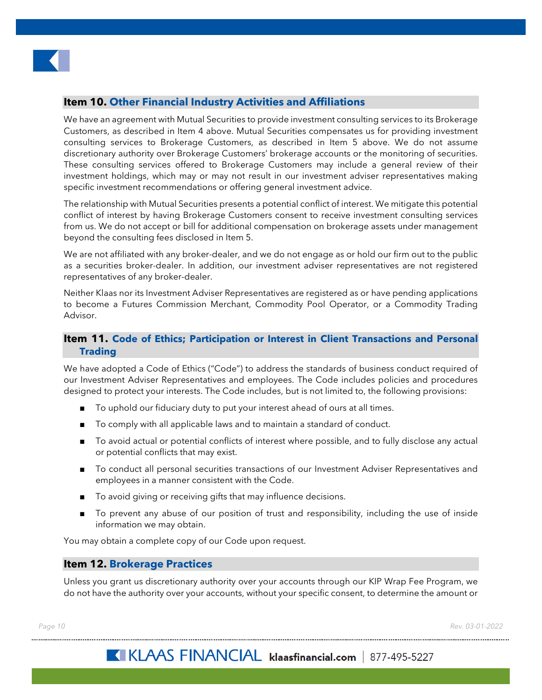

# <span id="page-13-0"></span>**Item 10. Other Financial Industry Activities and Affiliations**

We have an agreement with Mutual Securities to provide investment consulting services to its Brokerage Customers, as described in Item 4 above. Mutual Securities compensates us for providing investment consulting services to Brokerage Customers, as described in Item 5 above. We do not assume discretionary authority over Brokerage Customers' brokerage accounts or the monitoring of securities. These consulting services offered to Brokerage Customers may include a general review of their investment holdings, which may or may not result in our investment adviser representatives making specific investment recommendations or offering general investment advice.

The relationship with Mutual Securities presents a potential conflict of interest. We mitigate this potential conflict of interest by having Brokerage Customers consent to receive investment consulting services from us. We do not accept or bill for additional compensation on brokerage assets under management beyond the consulting fees disclosed in Item 5.

We are not affiliated with any broker-dealer, and we do not engage as or hold our firm out to the public as a securities broker-dealer. In addition, our investment adviser representatives are not registered representatives of any broker-dealer.

Neither Klaas nor its Investment Adviser Representatives are registered as or have pending applications to become a Futures Commission Merchant, Commodity Pool Operator, or a Commodity Trading Advisor.

# <span id="page-13-1"></span>**Item 11. Code of Ethics; Participation or Interest in Client Transactions and Personal Trading**

We have adopted a Code of Ethics ("Code") to address the standards of business conduct required of our Investment Adviser Representatives and employees. The Code includes policies and procedures designed to protect your interests. The Code includes, but is not limited to, the following provisions:

- To uphold our fiduciary duty to put your interest ahead of ours at all times.
- To comply with all applicable laws and to maintain a standard of conduct.
- To avoid actual or potential conflicts of interest where possible, and to fully disclose any actual or potential conflicts that may exist.
- To conduct all personal securities transactions of our Investment Adviser Representatives and employees in a manner consistent with the Code.
- To avoid giving or receiving gifts that may influence decisions.
- To prevent any abuse of our position of trust and responsibility, including the use of inside information we may obtain.

You may obtain a complete copy of our Code upon request.

#### <span id="page-13-2"></span>**Item 12. Brokerage Practices**

Unless you grant us discretionary authority over your accounts through our KIP Wrap Fee Program, we do not have the authority over your accounts, without your specific consent, to determine the amount or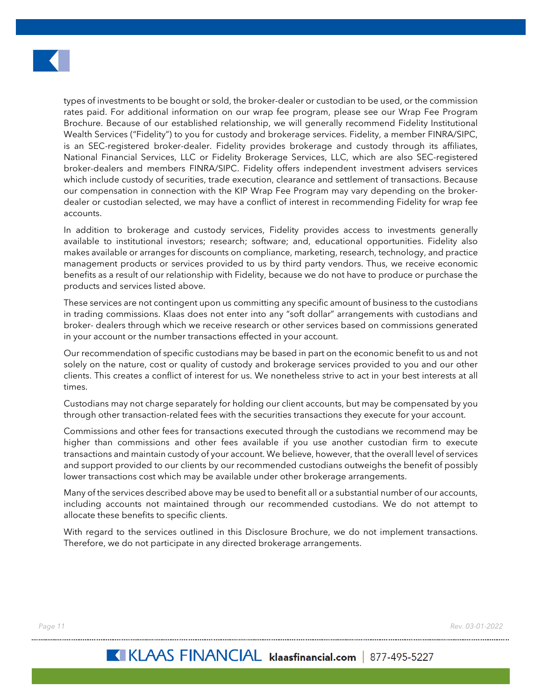

types of investments to be bought or sold, the broker-dealer or custodian to be used, or the commission rates paid. For additional information on our wrap fee program, please see our Wrap Fee Program Brochure. Because of our established relationship, we will generally recommend Fidelity Institutional Wealth Services ("Fidelity") to you for custody and brokerage services. Fidelity, a member FINRA/SIPC, is an SEC-registered broker-dealer. Fidelity provides brokerage and custody through its affiliates, National Financial Services, LLC or Fidelity Brokerage Services, LLC, which are also SEC-registered broker-dealers and members FINRA/SIPC. Fidelity offers independent investment advisers services which include custody of securities, trade execution, clearance and settlement of transactions. Because our compensation in connection with the KIP Wrap Fee Program may vary depending on the brokerdealer or custodian selected, we may have a conflict of interest in recommending Fidelity for wrap fee accounts.

In addition to brokerage and custody services, Fidelity provides access to investments generally available to institutional investors; research; software; and, educational opportunities. Fidelity also makes available or arranges for discounts on compliance, marketing, research, technology, and practice management products or services provided to us by third party vendors. Thus, we receive economic benefits as a result of our relationship with Fidelity, because we do not have to produce or purchase the products and services listed above.

These services are not contingent upon us committing any specific amount of business to the custodians in trading commissions. Klaas does not enter into any "soft dollar" arrangements with custodians and broker- dealers through which we receive research or other services based on commissions generated in your account or the number transactions effected in your account.

Our recommendation of specific custodians may be based in part on the economic benefit to us and not solely on the nature, cost or quality of custody and brokerage services provided to you and our other clients. This creates a conflict of interest for us. We nonetheless strive to act in your best interests at all times.

Custodians may not charge separately for holding our client accounts, but may be compensated by you through other transaction-related fees with the securities transactions they execute for your account.

Commissions and other fees for transactions executed through the custodians we recommend may be higher than commissions and other fees available if you use another custodian firm to execute transactions and maintain custody of your account. We believe, however, that the overall level of services and support provided to our clients by our recommended custodians outweighs the benefit of possibly lower transactions cost which may be available under other brokerage arrangements.

Many of the services described above may be used to benefit all or a substantial number of our accounts, including accounts not maintained through our recommended custodians. We do not attempt to allocate these benefits to specific clients.

With regard to the services outlined in this Disclosure Brochure, we do not implement transactions. Therefore, we do not participate in any directed brokerage arrangements.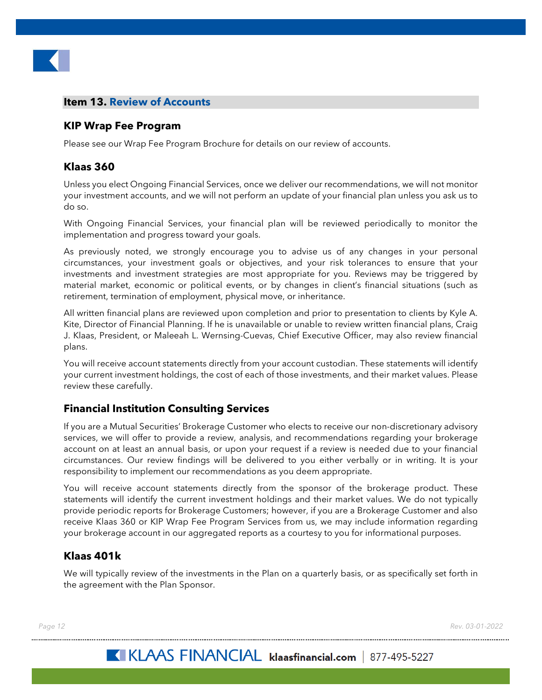

# <span id="page-15-0"></span>**Item 13. Review of Accounts**

# <span id="page-15-1"></span>**KIP Wrap Fee Program**

Please see our Wrap Fee Program Brochure for details on our review of accounts.

# <span id="page-15-2"></span>**Klaas 360**

Unless you elect Ongoing Financial Services, once we deliver our recommendations, we will not monitor your investment accounts, and we will not perform an update of your financial plan unless you ask us to do so.

With Ongoing Financial Services, your financial plan will be reviewed periodically to monitor the implementation and progress toward your goals.

As previously noted, we strongly encourage you to advise us of any changes in your personal circumstances, your investment goals or objectives, and your risk tolerances to ensure that your investments and investment strategies are most appropriate for you. Reviews may be triggered by material market, economic or political events, or by changes in client's financial situations (such as retirement, termination of employment, physical move, or inheritance.

All written financial plans are reviewed upon completion and prior to presentation to clients by Kyle A. Kite, Director of Financial Planning. If he is unavailable or unable to review written financial plans, Craig J. Klaas, President, or Maleeah L. Wernsing-Cuevas, Chief Executive Officer, may also review financial plans.

You will receive account statements directly from your account custodian. These statements will identify your current investment holdings, the cost of each of those investments, and their market values. Please review these carefully.

# <span id="page-15-3"></span>**Financial Institution Consulting Services**

If you are a Mutual Securities' Brokerage Customer who elects to receive our non-discretionary advisory services, we will offer to provide a review, analysis, and recommendations regarding your brokerage account on at least an annual basis, or upon your request if a review is needed due to your financial circumstances. Our review findings will be delivered to you either verbally or in writing. It is your responsibility to implement our recommendations as you deem appropriate.

You will receive account statements directly from the sponsor of the brokerage product. These statements will identify the current investment holdings and their market values. We do not typically provide periodic reports for Brokerage Customers; however, if you are a Brokerage Customer and also receive Klaas 360 or KIP Wrap Fee Program Services from us, we may include information regarding your brokerage account in our aggregated reports as a courtesy to you for informational purposes.

# <span id="page-15-4"></span>**Klaas 401k**

We will typically review of the investments in the Plan on a quarterly basis, or as specifically set forth in the agreement with the Plan Sponsor.